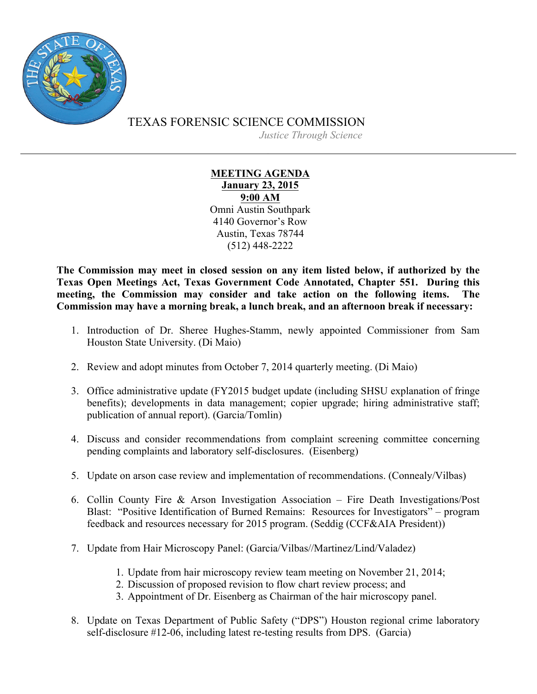

TEXAS FORENSIC SCIENCE COMMISSION

*Justice Through Science*

## **MEETING AGENDA January 23, 2015 9:00 AM** Omni Austin Southpark 4140 Governor's Row Austin, Texas 78744 (512) 448-2222

**The Commission may meet in closed session on any item listed below, if authorized by the Texas Open Meetings Act, Texas Government Code Annotated, Chapter 551. During this meeting, the Commission may consider and take action on the following items. The Commission may have a morning break, a lunch break, and an afternoon break if necessary:**

- 1. Introduction of Dr. Sheree Hughes-Stamm, newly appointed Commissioner from Sam Houston State University. (Di Maio)
- 2. Review and adopt minutes from October 7, 2014 quarterly meeting. (Di Maio)
- 3. Office administrative update (FY2015 budget update (including SHSU explanation of fringe benefits); developments in data management; copier upgrade; hiring administrative staff; publication of annual report). (Garcia/Tomlin)
- 4. Discuss and consider recommendations from complaint screening committee concerning pending complaints and laboratory self-disclosures. (Eisenberg)
- 5. Update on arson case review and implementation of recommendations. (Connealy/Vilbas)
- 6. Collin County Fire & Arson Investigation Association Fire Death Investigations/Post Blast: "Positive Identification of Burned Remains: Resources for Investigators" – program feedback and resources necessary for 2015 program. (Seddig (CCF&AIA President))
- 7. Update from Hair Microscopy Panel: (Garcia/Vilbas//Martinez/Lind/Valadez)
	- 1. Update from hair microscopy review team meeting on November 21, 2014;
	- 2. Discussion of proposed revision to flow chart review process; and
	- 3. Appointment of Dr. Eisenberg as Chairman of the hair microscopy panel.
- 8. Update on Texas Department of Public Safety ("DPS") Houston regional crime laboratory self-disclosure #12-06, including latest re-testing results from DPS. (Garcia)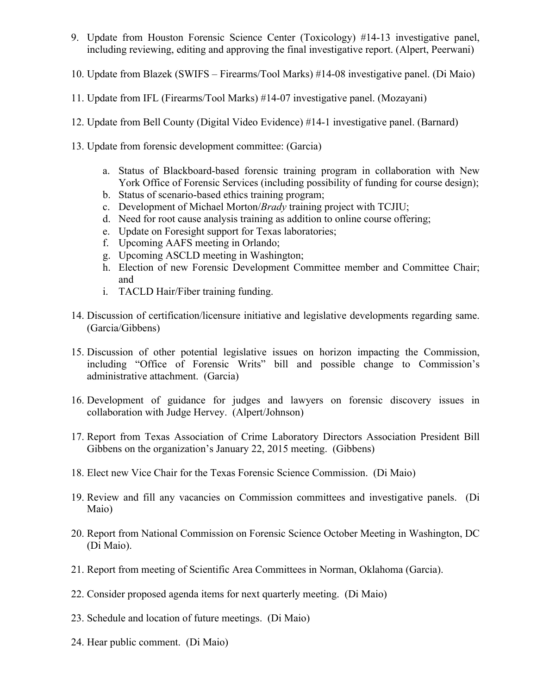- 9. Update from Houston Forensic Science Center (Toxicology) #14-13 investigative panel, including reviewing, editing and approving the final investigative report. (Alpert, Peerwani)
- 10. Update from Blazek (SWIFS Firearms/Tool Marks) #14-08 investigative panel. (Di Maio)
- 11. Update from IFL (Firearms/Tool Marks) #14-07 investigative panel. (Mozayani)
- 12. Update from Bell County (Digital Video Evidence) #14-1 investigative panel. (Barnard)
- 13. Update from forensic development committee: (Garcia)
	- a. Status of Blackboard-based forensic training program in collaboration with New York Office of Forensic Services (including possibility of funding for course design);
	- b. Status of scenario-based ethics training program;
	- c. Development of Michael Morton/*Brady* training project with TCJIU;
	- d. Need for root cause analysis training as addition to online course offering;
	- e. Update on Foresight support for Texas laboratories;
	- f. Upcoming AAFS meeting in Orlando;
	- g. Upcoming ASCLD meeting in Washington;
	- h. Election of new Forensic Development Committee member and Committee Chair; and
	- i. TACLD Hair/Fiber training funding.
- 14. Discussion of certification/licensure initiative and legislative developments regarding same. (Garcia/Gibbens)
- 15. Discussion of other potential legislative issues on horizon impacting the Commission, including "Office of Forensic Writs" bill and possible change to Commission's administrative attachment. (Garcia)
- 16. Development of guidance for judges and lawyers on forensic discovery issues in collaboration with Judge Hervey. (Alpert/Johnson)
- 17. Report from Texas Association of Crime Laboratory Directors Association President Bill Gibbens on the organization's January 22, 2015 meeting. (Gibbens)
- 18. Elect new Vice Chair for the Texas Forensic Science Commission. (Di Maio)
- 19. Review and fill any vacancies on Commission committees and investigative panels. (Di Maio)
- 20. Report from National Commission on Forensic Science October Meeting in Washington, DC (Di Maio).
- 21. Report from meeting of Scientific Area Committees in Norman, Oklahoma (Garcia).
- 22. Consider proposed agenda items for next quarterly meeting. (Di Maio)
- 23. Schedule and location of future meetings. (Di Maio)
- 24. Hear public comment. (Di Maio)